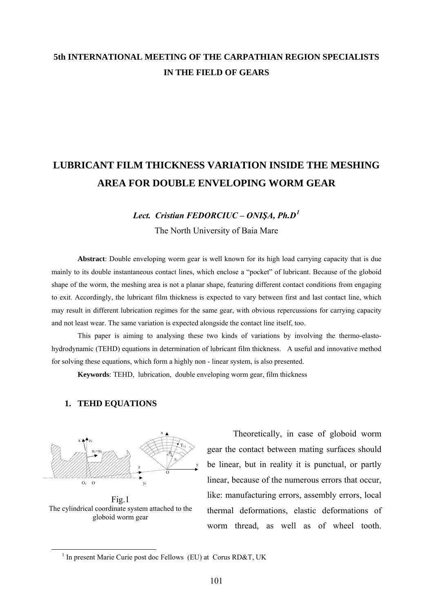## **5th INTERNATIONAL MEETING OF THE CARPATHIAN REGION SPECIALISTS IN THE FIELD OF GEARS**

# **LUBRICANT FILM THICKNESS VARIATION INSIDE THE MESHING AREA FOR DOUBLE ENVELOPING WORM GEAR**

## *Lect. Cristian FEDORCIUC – ONIŞA, Ph.D[1](#page-0-0)* The North University of Baia Mare

**Abstract**: Double enveloping worm gear is well known for its high load carrying capacity that is due mainly to its double instantaneous contact lines, which enclose a "pocket" of lubricant. Because of the globoid shape of the worm, the meshing area is not a planar shape, featuring different contact conditions from engaging to exit. Accordingly, the lubricant film thickness is expected to vary between first and last contact line, which may result in different lubrication regimes for the same gear, with obvious repercussions for carrying capacity and not least wear. The same variation is expected alongside the contact line itself, too.

This paper is aiming to analysing these two kinds of variations by involving the thermo-elastohydrodynamic (TEHD) equations in determination of lubricant film thickness. A useful and innovative method for solving these equations, which form a highly non - linear system, is also presented.

**Keywords**: TEHD, lubrication, double enveloping worm gear, film thickness

### **1. TEHD EQUATIONS**



Fig.1 The cylindrical coordinate system attached to the globoid worm gear

Theoretically, in case of globoid worm gear the contact between mating surfaces should be linear, but in reality it is punctual, or partly linear, because of the numerous errors that occur, like: manufacturing errors, assembly errors, local thermal deformations, elastic deformations of worm thread, as well as of wheel tooth.

<span id="page-0-0"></span> $\frac{1}{1}$  $<sup>1</sup>$  In present Marie Curie post doc Fellows (EU) at Corus RD&T, UK</sup>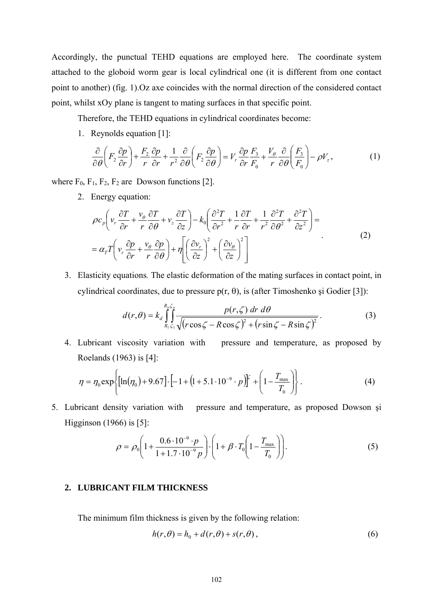Accordingly, the punctual TEHD equations are employed here. The coordinate system attached to the globoid worm gear is local cylindrical one (it is different from one contact point to another) (fig. 1).Oz axe coincides with the normal direction of the considered contact point, whilst xOy plane is tangent to mating surfaces in that specific point.

Therefore, the TEHD equations in cylindrical coordinates become:

1. Reynolds equation [1]:

$$
\frac{\partial}{\partial \theta} \left( F_2 \frac{\partial p}{\partial r} \right) + \frac{F_2}{r} \frac{\partial p}{\partial r} + \frac{1}{r^2} \frac{\partial}{\partial \theta} \left( F_2 \frac{\partial p}{\partial \theta} \right) = V_r \frac{\partial p}{\partial r} \frac{F_3}{F_0} + \frac{V_\theta}{r} \frac{\partial}{\partial \theta} \left( \frac{F_3}{F_0} \right) - \rho V_z, \tag{1}
$$

where  $F_0$ ,  $F_1$ ,  $F_2$ ,  $F_2$  are Dowson functions [2].

2. Energy equation:

$$
\rho c_p \left( v_r \frac{\partial T}{\partial r} + \frac{v_\theta}{r} \frac{\partial T}{\partial \theta} + v_z \frac{\partial T}{\partial z} \right) - k_0 \left( \frac{\partial^2 T}{\partial r^2} + \frac{1}{r} \frac{\partial T}{\partial r} + \frac{1}{r^2} \frac{\partial^2 T}{\partial \theta^2} + \frac{\partial^2 T}{\partial z^2} \right) =
$$
  
=  $\alpha_r T \left( v_r \frac{\partial p}{\partial r} + \frac{v_\theta}{r} \frac{\partial p}{\partial \theta} \right) + \eta \left[ \left( \frac{\partial v_r}{\partial z} \right)^2 + \left( \frac{\partial v_\theta}{\partial z} \right)^2 \right]$  (2)

3. Elasticity equations*.* The elastic deformation of the mating surfaces in contact point, in cylindrical coordinates, due to pressure  $p(r, θ)$ , is (after Timoshenko si Godier [3]):

$$
d(r,\theta) = k_d \int_{R_1 \zeta_1}^{R_n \zeta_n} \frac{p(r,\zeta) dr d\theta}{\sqrt{(r \cos \zeta - R \cos \zeta)^2 + (r \sin \zeta - R \sin \zeta)^2}}.
$$
(3)

4. Lubricant viscosity variation with pressure and temperature, as proposed by Roelands (1963) is [4]:

$$
\eta = \eta_0 \exp\left\{ [\ln(\eta_0) + 9.67] \cdot \left[ -1 + (1 + 5.1 \cdot 10^{-9} \cdot p) \right]^{2} + \left( 1 - \frac{T_{\text{max}}}{T_0} \right) \right\}.
$$
 (4)

5. Lubricant density variation with pressure and temperature, as proposed Dowson şi Higginson (1966) is [5]:

$$
\rho = \rho_0 \left( 1 + \frac{0.6 \cdot 10^{-9} \cdot p}{1 + 1.7 \cdot 10^{-9} p} \right) \cdot \left( 1 + \beta \cdot T_0 \left( 1 - \frac{T_{\text{max}}}{T_0} \right) \right). \tag{5}
$$

### **2. LUBRICANT FILM THICKNESS**

The minimum film thickness is given by the following relation:

$$
h(r,\theta) = h_0 + d(r,\theta) + s(r,\theta),
$$
\n(6)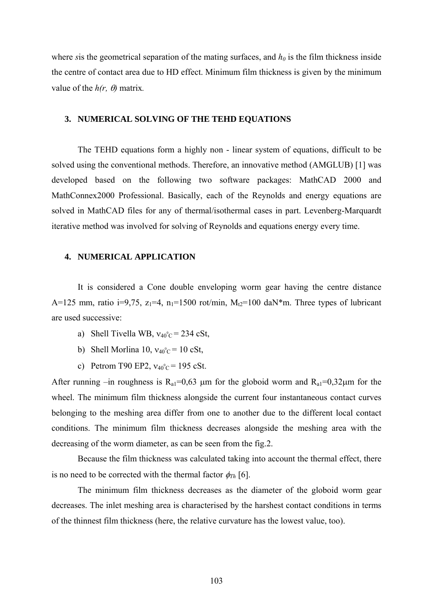where *s* is the geometrical separation of the mating surfaces, and  $h_0$  is the film thickness inside the centre of contact area due to HD effect. Minimum film thickness is given by the minimum value of the  $h(r, \theta)$  matrix.

#### **3. NUMERICAL SOLVING OF THE TEHD EQUATIONS**

The TEHD equations form a highly non - linear system of equations, difficult to be solved using the conventional methods. Therefore, an innovative method (AMGLUB) [1] was developed based on the following two software packages: MathCAD 2000 and MathConnex2000 Professional. Basically, each of the Reynolds and energy equations are solved in MathCAD files for any of thermal/isothermal cases in part. Levenberg-Marquardt iterative method was involved for solving of Reynolds and equations energy every time.

#### **4. NUMERICAL APPLICATION**

It is considered a Cone double enveloping worm gear having the centre distance A=125 mm, ratio i=9,75,  $z_1$ =4,  $n_1$ =1500 rot/min,  $M_2$ =100 daN\*m. Three types of lubricant are used successive:

- a) Shell Tivella WB,  $v_{40}^{\circ}$  c = 234 cSt,
- b) Shell Morlina 10,  $v_{40}^{\circ}$  c = 10 cSt,
- c) Petrom T90 EP2,  $v_{40}^{\circ}$ c = 195 cSt.

After running –in roughness is  $R_{a1} = 0.63$  µm for the globoid worm and  $R_{a1} = 0.32 \mu m$  for the wheel. The minimum film thickness alongside the current four instantaneous contact curves belonging to the meshing area differ from one to another due to the different local contact conditions. The minimum film thickness decreases alongside the meshing area with the decreasing of the worm diameter, as can be seen from the fig.2.

 Because the film thickness was calculated taking into account the thermal effect, there is no need to be corrected with the thermal factor  $\phi_{Th}$  [6].

The minimum film thickness decreases as the diameter of the globoid worm gear decreases. The inlet meshing area is characterised by the harshest contact conditions in terms of the thinnest film thickness (here, the relative curvature has the lowest value, too).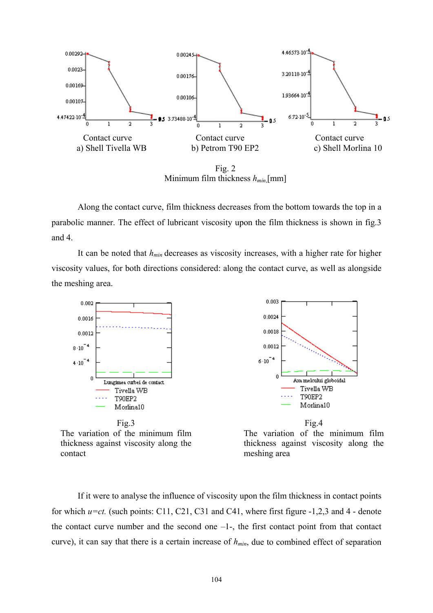

Fig. 2 Minimum film thickness *hmin*,[mm]

Along the contact curve, film thickness decreases from the bottom towards the top in a parabolic manner. The effect of lubricant viscosity upon the film thickness is shown in fig.3 and 4.

It can be noted that  $h_{min}$  decreases as viscosity increases, with a higher rate for higher viscosity values, for both directions considered: along the contact curve, as well as alongside the meshing area.



The variation of the minimum film thickness against viscosity along the contact



If it were to analyse the influence of viscosity upon the film thickness in contact points for which *u=ct.* (such points: C11, C21, C31 and C41, where first figure -1,2,3 and 4 - denote the contact curve number and the second one  $-1$ -, the first contact point from that contact curve), it can say that there is a certain increase of  $h_{min}$ , due to combined effect of separation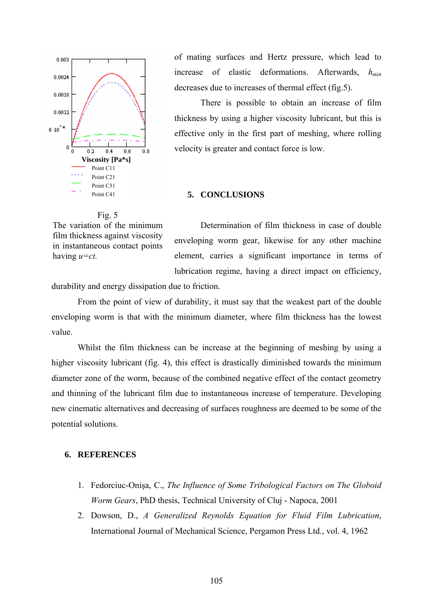

of mating surfaces and Hertz pressure, which lead to increase of elastic deformations. Afterwards,  $h_{min}$ decreases due to increases of thermal effect (fig.5).

There is possible to obtain an increase of film thickness by using a higher viscosity lubricant, but this is effective only in the first part of meshing, where rolling velocity is greater and contact force is low.

#### **5. CONCLUSIONS**

#### Fig. 5

The variation of the minimum film thickness against viscosity in instantaneous contact points having *u=ct.*

Determination of film thickness in case of double enveloping worm gear, likewise for any other machine element, carries a significant importance in terms of lubrication regime, having a direct impact on efficiency,

durability and energy dissipation due to friction.

From the point of view of durability, it must say that the weakest part of the double enveloping worm is that with the minimum diameter, where film thickness has the lowest value.

Whilst the film thickness can be increase at the beginning of meshing by using a higher viscosity lubricant (fig. 4), this effect is drastically diminished towards the minimum diameter zone of the worm, because of the combined negative effect of the contact geometry and thinning of the lubricant film due to instantaneous increase of temperature. Developing new cinematic alternatives and decreasing of surfaces roughness are deemed to be some of the potential solutions.

### **6. REFERENCES**

- 1. Fedorciuc-Onişa, C., *The Influence of Some Tribological Factors on The Globoid Worm Gears*, PhD thesis, Technical University of Cluj - Napoca, 2001
- 2. Dowson, D., *A Generalized Reynolds Equation for Fluid Film Lubrication*, International Journal of Mechanical Science, Pergamon Press Ltd., vol. 4, 1962